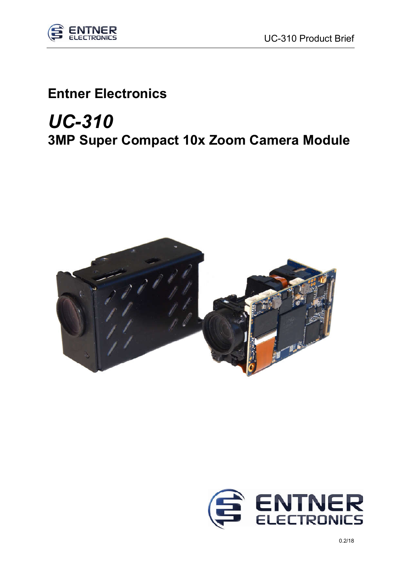

## Entner Electronics

## *UC-310* 3MP Super Compact 10x Zoom Camera Module

֦